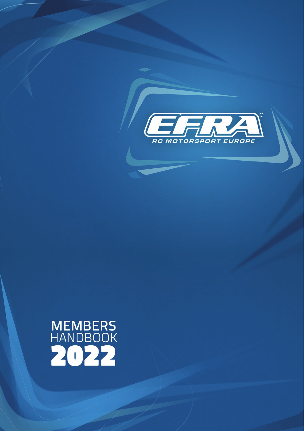

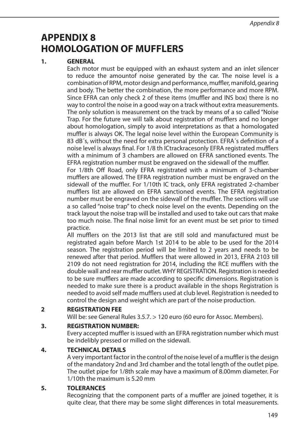# **APPENDIX 8 HOMOLOGATION OF MUFFLERS**

# **1. GENERAL**

 Each motor must be equipped with an exhaust system and an inlet silencer to reduce the amountof noise generated by the car. The noise level is a combination of RPM, motor design and performance, muffler, manifold, gearing and body. The better the combination, the more performance and more RPM. Since EFRA can only check 2 of these items (muffler and INS box) there is no way to control the noise in a good way on a track without extra measurements. The only solution is measurement on the track by means of a so called "Noise Trap. For the future we will talk about registration of mufflers and no longer about homologation, simply to avoid interpretations as that a homologated muffler is always OK. The legal noise level within the European Community is 83 dB´s, without the need for extra personal protection. EFRA´s definition of a noise level is always final. For 1/8 th ICtrackracesonly EFRA registrated mufflers with a minimum of 3 chambers are allowed on EFRA sanctioned events. The EFRA registration number must be engraved on the sidewall of the muffler.

 For 1/8th Off Road, only EFRA registrated with a minimum of 3-chamber mufflers are allowed. The EFRA registration number must be engraved on the sidewall of the muffler. For 1/10th IC track, only EFRA registrated 2-chamber mufflers list are allowed on EFRA sanctioned events. The EFRA registration number must be engraved on the sidewall of the muffler. The sections will use a so called "noise trap" to check noise level on the events. Depending on the track layout the noise trap will be installed and used to take out cars that make too much noise. The final noise limit for an event must be set prior to timed practice.

 All mufflers on the 2013 list that are still sold and manufactured must be registrated again before March 1st 2014 to be able to be used for the 2014 season. The registration period will be limited to 2 years and needs to be renewed after that period. Mufflers that were allowed in 2013, EFRA 2103 till 2109 do not need registration for 2014, including the RCE mufflers with the double wall and rear muffler outlet. WHY REGISTRATION. Registration is needed to be sure mufflers are made according to specific dimensions. Registration is needed to make sure there is a product available in the shops Registration is needed to avoid self made mufflers used at club level. Registration is needed to control the design and weight which are part of the noise production.

# **2 REGISTRATION FEE**

Will be: see General Rules 3.5.7. > 120 euro (60 euro for Assoc. Members).

#### **3. REGISTRATION NUMBER:**

 Every accepted muffler is issued with an EFRA registration number which must be indelibly pressed or milled on the sidewall.

#### **4. TECHNICAL DETAILS**

 A very important factor in the control of the noise level of a muffler is the design of the mandatory 2nd and 3rd chamber and the total length of the outlet pipe. The outlet pipe for 1/8th scale may have a maximum of 8.00mm diameter. For 1/10th the maximum is 5.20 mm

#### **5. TOLERANCES**

 Recognizing that the component parts of a muffler are joined together, it is quite clear, that there may be some slight differences in total measurements.